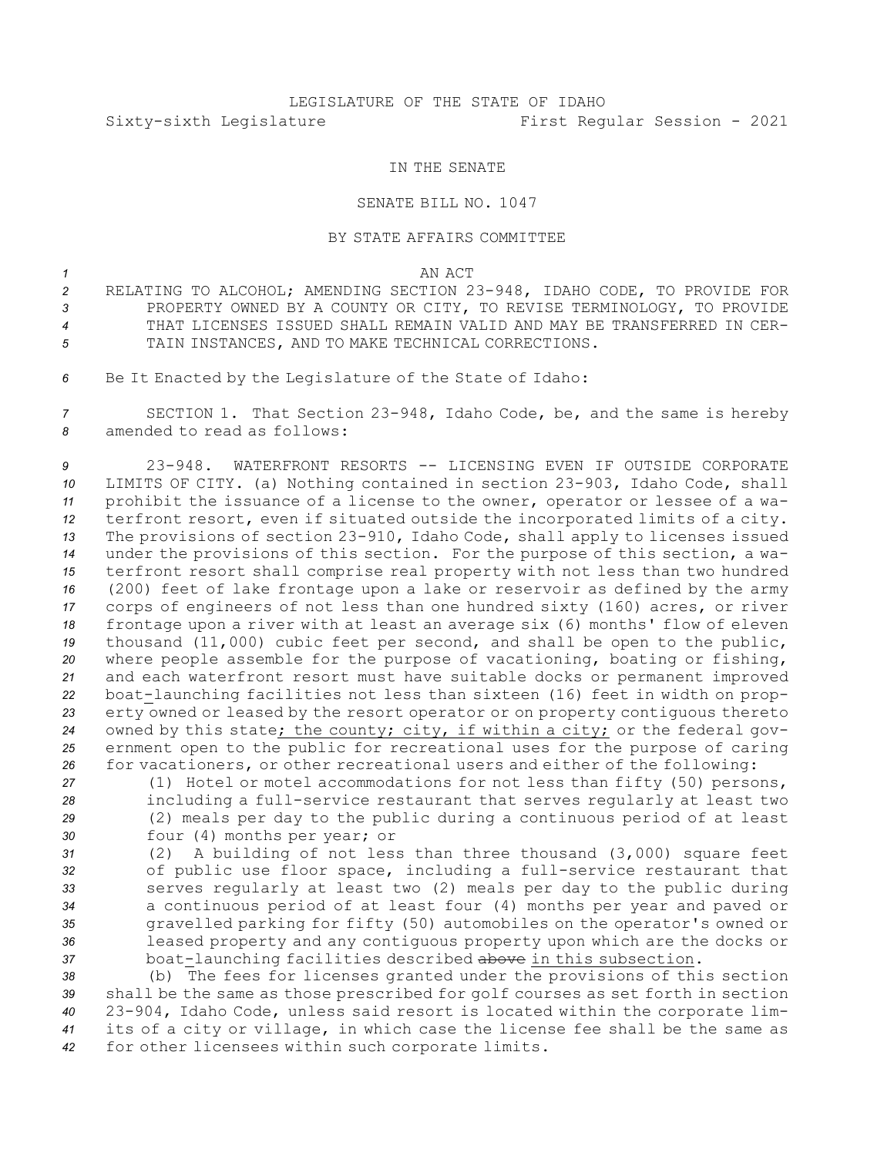## LEGISLATURE OF THE STATE OF IDAHO Sixty-sixth Legislature First Regular Session - 2021

## IN THE SENATE

## SENATE BILL NO. 1047

## BY STATE AFFAIRS COMMITTEE

*1* AN ACT

- *<sup>2</sup>* RELATING TO ALCOHOL; AMENDING SECTION 23-948, IDAHO CODE, TO PROVIDE FOR *3* PROPERTY OWNED BY A COUNTY OR CITY, TO REVISE TERMINOLOGY, TO PROVIDE *4* THAT LICENSES ISSUED SHALL REMAIN VALID AND MAY BE TRANSFERRED IN CER-*5* TAIN INSTANCES, AND TO MAKE TECHNICAL CORRECTIONS.
- *<sup>6</sup>* Be It Enacted by the Legislature of the State of Idaho:

*<sup>7</sup>* SECTION 1. That Section 23-948, Idaho Code, be, and the same is hereby *8* amended to read as follows:

 23-948. WATERFRONT RESORTS -- LICENSING EVEN IF OUTSIDE CORPORATE LIMITS OF CITY. (a) Nothing contained in section 23-903, Idaho Code, shall prohibit the issuance of <sup>a</sup> license to the owner, operator or lessee of <sup>a</sup> wa- terfront resort, even if situated outside the incorporated limits of <sup>a</sup> city. The provisions of section 23-910, Idaho Code, shall apply to licenses issued under the provisions of this section. For the purpose of this section, <sup>a</sup> wa- terfront resort shall comprise real property with not less than two hundred (200) feet of lake frontage upon <sup>a</sup> lake or reservoir as defined by the army corps of engineers of not less than one hundred sixty (160) acres, or river frontage upon <sup>a</sup> river with at least an average six (6) months' flow of eleven thousand (11,000) cubic feet per second, and shall be open to the public, where people assemble for the purpose of vacationing, boating or fishing, and each waterfront resort must have suitable docks or permanent improved boat-launching facilities not less than sixteen (16) feet in width on prop- erty owned or leased by the resort operator or on property contiguous thereto owned by this state; the county; city, if within <sup>a</sup> city; or the federal gov- ernment open to the public for recreational uses for the purpose of caring for vacationers, or other recreational users and either of the following:

 (1) Hotel or motel accommodations for not less than fifty (50) persons, including <sup>a</sup> full-service restaurant that serves regularly at least two (2) meals per day to the public during <sup>a</sup> continuous period of at least four (4) months per year; or

 (2) <sup>A</sup> building of not less than three thousand (3,000) square feet of public use floor space, including <sup>a</sup> full-service restaurant that serves regularly at least two (2) meals per day to the public during <sup>a</sup> continuous period of at least four (4) months per year and paved or gravelled parking for fifty (50) automobiles on the operator's owned or leased property and any contiguous property upon which are the docks or boat-launching facilities described above in this subsection.

 (b) The fees for licenses granted under the provisions of this section shall be the same as those prescribed for golf courses as set forth in section 23-904, Idaho Code, unless said resort is located within the corporate lim- its of <sup>a</sup> city or village, in which case the license fee shall be the same as for other licensees within such corporate limits.